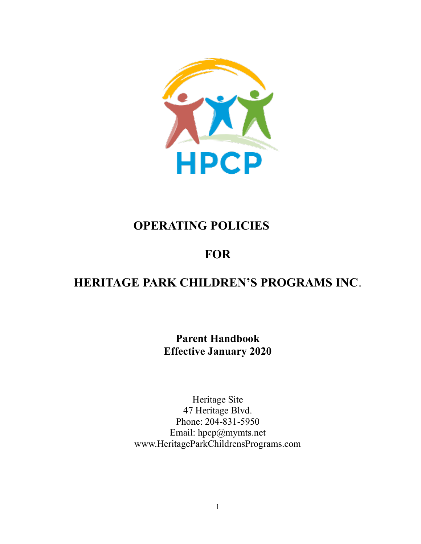

# OPERATING POLICIES

# **FOR**

# HERITAGE PARK CHILDREN'S PROGRAMS INC.

Parent Handbook Effective January 2020

Heritage Site 47 Heritage Blvd. Phone: 204-831-5950 Email: hpcp@mymts.net www.HeritageParkChildrensPrograms.com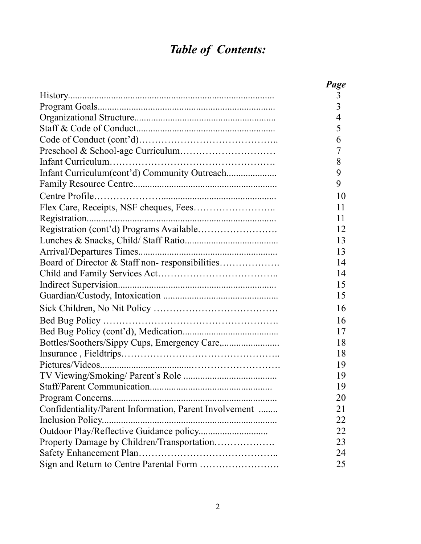# Table of Contents:

|                                                        | Page           |
|--------------------------------------------------------|----------------|
|                                                        | 3              |
|                                                        | $\overline{3}$ |
|                                                        | 4              |
|                                                        | 5              |
|                                                        | 6              |
|                                                        | 7              |
|                                                        | 8              |
| Infant Curriculum(cont'd) Community Outreach           | 9              |
|                                                        | 9              |
|                                                        | 10             |
|                                                        | 11             |
|                                                        | 11             |
|                                                        | 12             |
|                                                        | 13             |
|                                                        | 13             |
| Board of Director & Staff non-responsibilities         | 14             |
|                                                        | 14             |
|                                                        | 15             |
|                                                        | 15             |
|                                                        | 16             |
|                                                        | 16             |
|                                                        | 17             |
|                                                        | 18             |
|                                                        | 18             |
|                                                        | 19             |
|                                                        | 19             |
|                                                        | 19             |
|                                                        | 20             |
| Confidentiality/Parent Information, Parent Involvement | 21             |
| Inclusion Policy                                       | 22             |
|                                                        | 22             |
| Property Damage by Children/Transportation             | 23             |
|                                                        | 24             |
|                                                        | 25             |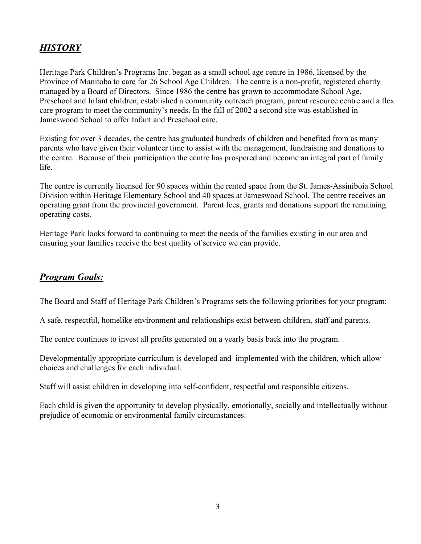# HISTORY

Heritage Park Children's Programs Inc. began as a small school age centre in 1986, licensed by the Province of Manitoba to care for 26 School Age Children. The centre is a non-profit, registered charity managed by a Board of Directors. Since 1986 the centre has grown to accommodate School Age, Preschool and Infant children, established a community outreach program, parent resource centre and a flex care program to meet the community's needs. In the fall of 2002 a second site was established in Jameswood School to offer Infant and Preschool care.

Existing for over 3 decades, the centre has graduated hundreds of children and benefited from as many parents who have given their volunteer time to assist with the management, fundraising and donations to the centre. Because of their participation the centre has prospered and become an integral part of family life.

The centre is currently licensed for 90 spaces within the rented space from the St. James-Assiniboia School Division within Heritage Elementary School and 40 spaces at Jameswood School. The centre receives an operating grant from the provincial government. Parent fees, grants and donations support the remaining operating costs.

Heritage Park looks forward to continuing to meet the needs of the families existing in our area and ensuring your families receive the best quality of service we can provide.

## Program Goals:

The Board and Staff of Heritage Park Children's Programs sets the following priorities for your program:

A safe, respectful, homelike environment and relationships exist between children, staff and parents.

The centre continues to invest all profits generated on a yearly basis back into the program.

Developmentally appropriate curriculum is developed and implemented with the children, which allow choices and challenges for each individual.

Staff will assist children in developing into self-confident, respectful and responsible citizens.

Each child is given the opportunity to develop physically, emotionally, socially and intellectually without prejudice of economic or environmental family circumstances.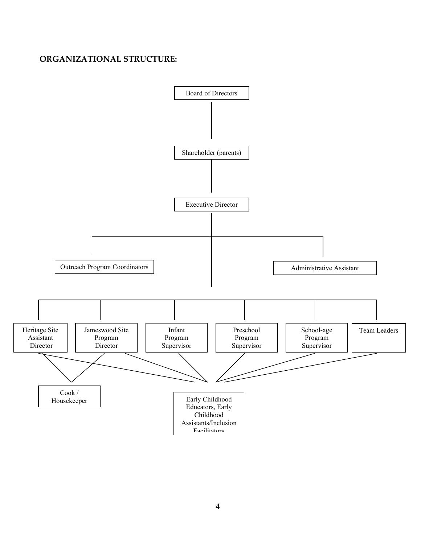### ORGANIZATIONAL STRUCTURE:

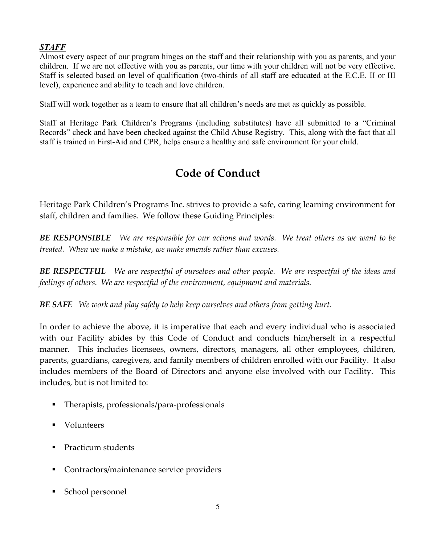### **STAFF**

Almost every aspect of our program hinges on the staff and their relationship with you as parents, and your children. If we are not effective with you as parents, our time with your children will not be very effective. Staff is selected based on level of qualification (two-thirds of all staff are educated at the E.C.E. II or III level), experience and ability to teach and love children.

Staff will work together as a team to ensure that all children's needs are met as quickly as possible.

Staff at Heritage Park Children's Programs (including substitutes) have all submitted to a "Criminal Records" check and have been checked against the Child Abuse Registry. This, along with the fact that all staff is trained in First-Aid and CPR, helps ensure a healthy and safe environment for your child.

# Code of Conduct

Heritage Park Children's Programs Inc. strives to provide a safe, caring learning environment for staff, children and families. We follow these Guiding Principles:

BE RESPONSIBLE We are responsible for our actions and words. We treat others as we want to be treated. When we make a mistake, we make amends rather than excuses.

BE RESPECTFUL We are respectful of ourselves and other people. We are respectful of the ideas and feelings of others. We are respectful of the environment, equipment and materials.

BE SAFE We work and play safely to help keep ourselves and others from getting hurt.

In order to achieve the above, it is imperative that each and every individual who is associated with our Facility abides by this Code of Conduct and conducts him/herself in a respectful manner. This includes licensees, owners, directors, managers, all other employees, children, parents, guardians, caregivers, and family members of children enrolled with our Facility. It also includes members of the Board of Directors and anyone else involved with our Facility. This includes, but is not limited to:

- Therapists, professionals/para-professionals
- **v** Volunteers
- **Practicum students**
- Contractors/maintenance service providers
- School personnel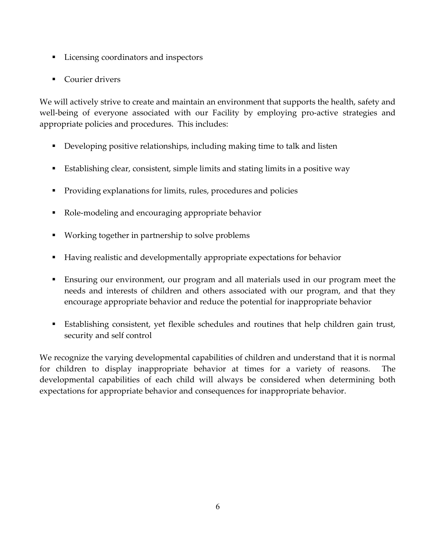- Licensing coordinators and inspectors
- **Courier drivers**

We will actively strive to create and maintain an environment that supports the health, safety and well-being of everyone associated with our Facility by employing pro-active strategies and appropriate policies and procedures. This includes:

- Developing positive relationships, including making time to talk and listen
- Establishing clear, consistent, simple limits and stating limits in a positive way
- Providing explanations for limits, rules, procedures and policies
- Role-modeling and encouraging appropriate behavior
- Working together in partnership to solve problems
- Having realistic and developmentally appropriate expectations for behavior
- Ensuring our environment, our program and all materials used in our program meet the needs and interests of children and others associated with our program, and that they encourage appropriate behavior and reduce the potential for inappropriate behavior
- Establishing consistent, yet flexible schedules and routines that help children gain trust, security and self control

We recognize the varying developmental capabilities of children and understand that it is normal for children to display inappropriate behavior at times for a variety of reasons. The developmental capabilities of each child will always be considered when determining both expectations for appropriate behavior and consequences for inappropriate behavior.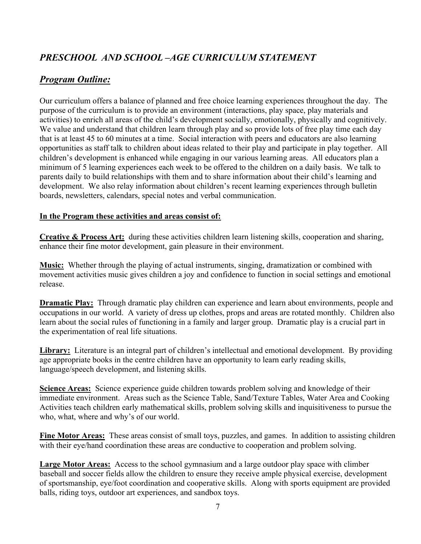# PRESCHOOL AND SCHOOL –AGE CURRICULUM STATEMENT

## Program Outline:

Our curriculum offers a balance of planned and free choice learning experiences throughout the day. The purpose of the curriculum is to provide an environment (interactions, play space, play materials and activities) to enrich all areas of the child's development socially, emotionally, physically and cognitively. We value and understand that children learn through play and so provide lots of free play time each day that is at least 45 to 60 minutes at a time. Social interaction with peers and educators are also learning opportunities as staff talk to children about ideas related to their play and participate in play together. All children's development is enhanced while engaging in our various learning areas. All educators plan a minimum of 5 learning experiences each week to be offered to the children on a daily basis. We talk to parents daily to build relationships with them and to share information about their child's learning and development. We also relay information about children's recent learning experiences through bulletin boards, newsletters, calendars, special notes and verbal communication.

#### In the Program these activities and areas consist of:

Creative & Process Art: during these activities children learn listening skills, cooperation and sharing, enhance their fine motor development, gain pleasure in their environment.

Music: Whether through the playing of actual instruments, singing, dramatization or combined with movement activities music gives children a joy and confidence to function in social settings and emotional release.

Dramatic Play: Through dramatic play children can experience and learn about environments, people and occupations in our world. A variety of dress up clothes, props and areas are rotated monthly. Children also learn about the social rules of functioning in a family and larger group. Dramatic play is a crucial part in the experimentation of real life situations.

Library: Literature is an integral part of children's intellectual and emotional development. By providing age appropriate books in the centre children have an opportunity to learn early reading skills, language/speech development, and listening skills.

**Science Areas:** Science experience guide children towards problem solving and knowledge of their immediate environment. Areas such as the Science Table, Sand/Texture Tables, Water Area and Cooking Activities teach children early mathematical skills, problem solving skills and inquisitiveness to pursue the who, what, where and why's of our world.

Fine Motor Areas: These areas consist of small toys, puzzles, and games. In addition to assisting children with their eye/hand coordination these areas are conductive to cooperation and problem solving.

Large Motor Areas: Access to the school gymnasium and a large outdoor play space with climber baseball and soccer fields allow the children to ensure they receive ample physical exercise, development of sportsmanship, eye/foot coordination and cooperative skills. Along with sports equipment are provided balls, riding toys, outdoor art experiences, and sandbox toys.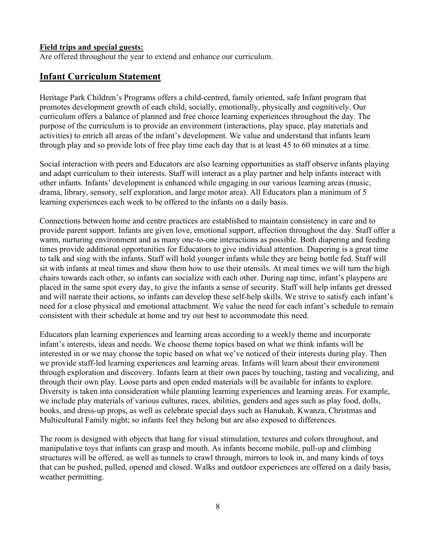#### Field trips and special guests:

Are offered throughout the year to extend and enhance our curriculum.

### Infant Curriculum Statement

Heritage Park Children's Programs offers a child-centred, family oriented, safe Infant program that promotes development growth of each child, socially, emotionally, physically and cognitively. Our curriculum offers a balance of planned and free choice learning experiences throughout the day. The purpose of the curriculum is to provide an environment (interactions, play space, play materials and activities) to enrich all areas of the infant's development. We value and understand that infants learn through play and so provide lots of free play time each day that is at least 45 to 60 minutes at a time.

Social interaction with peers and Educators are also learning opportunities as staff observe infants playing and adapt curriculum to their interests. Staff will interact as a play partner and help infants interact with other infants. Infants' development is enhanced while engaging in our various learning areas (music, drama, library, sensory, self exploration, and large motor area). All Educators plan a minimum of 5 learning experiences each week to be offered to the infants on a daily basis.

Connections between home and centre practices are established to maintain consistency in care and to provide parent support. Infants are given love, emotional support, affection throughout the day. Staff offer a warm, nurturing environment and as many one-to-one interactions as possible. Both diapering and feeding times provide additional opportunities for Educators to give individual attention. Diapering is a great time to talk and sing with the infants. Staff will hold younger infants while they are being bottle fed. Staff will sit with infants at meal times and show them how to use their utensils. At meal times we will turn the high chairs towards each other, so infants can socialize with each other. During nap time, infant's playpens are placed in the same spot every day, to give the infants a sense of security. Staff will help infants get dressed and will narrate their actions, so infants can develop these self-help skills. We strive to satisfy each infant's need for a close physical and emotional attachment. We value the need for each infant's schedule to remain consistent with their schedule at home and try our best to accommodate this need.

Educators plan learning experiences and learning areas according to a weekly theme and incorporate infant's interests, ideas and needs. We choose theme topics based on what we think infants will be interested in or we may choose the topic based on what we've noticed of their interests during play. Then we provide staff-led learning experiences and learning areas. Infants will learn about their environment through exploration and discovery. Infants learn at their own paces by touching, tasting and vocalizing, and through their own play. Loose parts and open ended materials will be available for infants to explore. Diversity is taken into consideration while planning learning experiences and learning areas. For example, we include play materials of various cultures, races, abilities, genders and ages such as play food, dolls, books, and dress-up props, as well as celebrate special days such as Hanukah, Kwanza, Christmas and Multicultural Family night; so infants feel they belong but are also exposed to differences.

The room is designed with objects that hang for visual stimulation, textures and colors throughout, and manipulative toys that infants can grasp and mouth. As infants become mobile, pull-up and climbing structures will be offered, as well as tunnels to crawl through, mirrors to look in, and many kinds of toys that can be pushed, pulled, opened and closed. Walks and outdoor experiences are offered on a daily basis, weather permitting.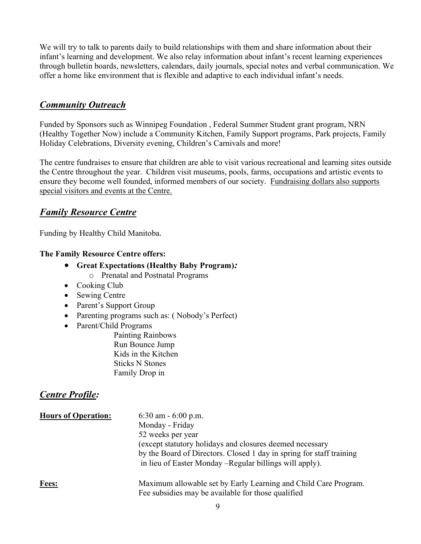We will try to talk to parents daily to build relationships with them and share information about their infant's learning and development. We also relay information about infant's recent learning experiences through bulletin boards, newsletters, calendars, daily journals, special notes and verbal communication. We offer a home like environment that is flexible and adaptive to each individual infant's needs.

# **Community Outreach**

Funded by Sponsors such as Winnipeg Foundation , Federal Summer Student grant program, NRN (Healthy Together Now) include a Community Kitchen, Family Support programs, Park projects, Family Holiday Celebrations, Diversity evening, Children's Carnivals and more!

The centre fundraises to ensure that children are able to visit various recreational and learning sites outside the Centre throughout the year. Children visit museums, pools, farms, occupations and artistic events to ensure they become well founded, informed members of our society. Fundraising dollars also supports special visitors and events at the Centre.

## Family Resource Centre

Funding by Healthy Child Manitoba.

#### The Family Resource Centre offers:

- Great Expectations (Healthy Baby Program):
	- o Prenatal and Postnatal Programs
- Cooking Club
- Sewing Centre
- Parent's Support Group
- Parenting programs such as: (Nobody's Perfect)
- Parent/Child Programs

 Painting Rainbows Run Bounce Jump Kids in the Kitchen Sticks N Stones Family Drop in

## Centre Profile:

| <b>Hours of Operation:</b> | 6:30 am $-$ 6:00 p.m.<br>Monday - Friday<br>52 weeks per year<br>(except statutory holidays and closures deemed necessary<br>by the Board of Directors. Closed 1 day in spring for staff training<br>in lieu of Easter Monday – Regular billings will apply). |
|----------------------------|---------------------------------------------------------------------------------------------------------------------------------------------------------------------------------------------------------------------------------------------------------------|
| <b>Fees:</b>               | Maximum allowable set by Early Learning and Child Care Program.<br>Fee subsidies may be available for those qualified                                                                                                                                         |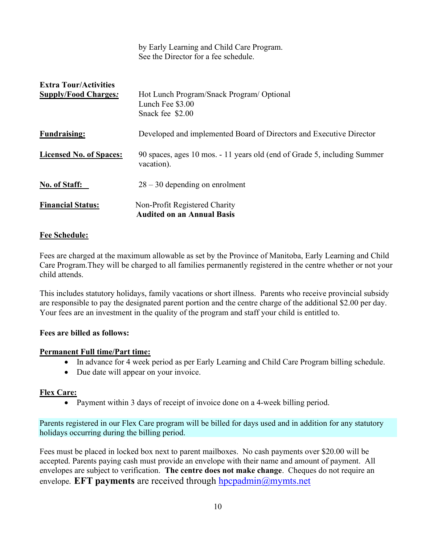|                                                             | See the Director for a fee schedule.                                                   |
|-------------------------------------------------------------|----------------------------------------------------------------------------------------|
| <b>Extra Tour/Activities</b><br><b>Supply/Food Charges:</b> | Hot Lunch Program/Snack Program/Optional<br>Lunch Fee \$3.00<br>Snack fee \$2.00       |
| <b>Fundraising:</b>                                         | Developed and implemented Board of Directors and Executive Director                    |
| <b>Licensed No. of Spaces:</b>                              | 90 spaces, ages 10 mos. - 11 years old (end of Grade 5, including Summer<br>vacation). |
| No. of Staff:                                               | $28 - 30$ depending on enrolment                                                       |
| <b>Financial Status:</b>                                    | Non-Profit Registered Charity<br><b>Audited on an Annual Basis</b>                     |

by Early Learning and Child Care Program.

#### Fee Schedule:

Fees are charged at the maximum allowable as set by the Province of Manitoba, Early Learning and Child Care Program.They will be charged to all families permanently registered in the centre whether or not your child attends.

This includes statutory holidays, family vacations or short illness. Parents who receive provincial subsidy are responsible to pay the designated parent portion and the centre charge of the additional \$2.00 per day. Your fees are an investment in the quality of the program and staff your child is entitled to.

#### Fees are billed as follows:

#### Permanent Full time/Part time:

- In advance for 4 week period as per Early Learning and Child Care Program billing schedule.
- Due date will appear on your invoice.

#### Flex Care:

Payment within 3 days of receipt of invoice done on a 4-week billing period.

Parents registered in our Flex Care program will be billed for days used and in addition for any statutory holidays occurring during the billing period.

Fees must be placed in locked box next to parent mailboxes. No cash payments over \$20.00 will be accepted. Parents paying cash must provide an envelope with their name and amount of payment. All envelopes are subject to verification. The centre does not make change. Cheques do not require an envelope. **EFT payments** are received through  $h$  poportunity must net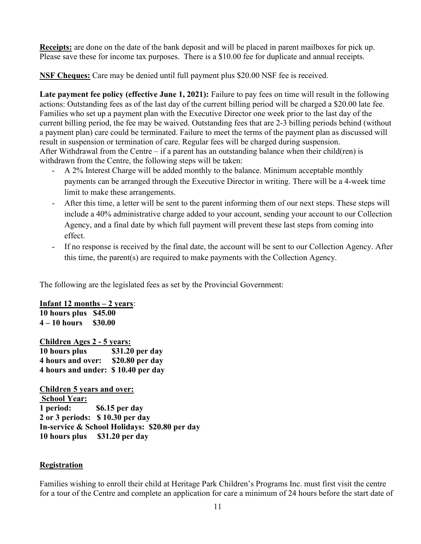Receipts: are done on the date of the bank deposit and will be placed in parent mailboxes for pick up. Please save these for income tax purposes. There is a \$10.00 fee for duplicate and annual receipts.

**NSF Cheques:** Care may be denied until full payment plus \$20.00 NSF fee is received.

Late payment fee policy (effective June 1, 2021): Failure to pay fees on time will result in the following actions: Outstanding fees as of the last day of the current billing period will be charged a \$20.00 late fee. Families who set up a payment plan with the Executive Director one week prior to the last day of the current billing period, the fee may be waived. Outstanding fees that are 2-3 billing periods behind (without a payment plan) care could be terminated. Failure to meet the terms of the payment plan as discussed will result in suspension or termination of care. Regular fees will be charged during suspension. After Withdrawal from the Centre – if a parent has an outstanding balance when their child(ren) is withdrawn from the Centre, the following steps will be taken:

- A 2% Interest Charge will be added monthly to the balance. Minimum acceptable monthly payments can be arranged through the Executive Director in writing. There will be a 4-week time limit to make these arrangements.
- After this time, a letter will be sent to the parent informing them of our next steps. These steps will include a 40% administrative charge added to your account, sending your account to our Collection Agency, and a final date by which full payment will prevent these last steps from coming into effect.
- If no response is received by the final date, the account will be sent to our Collection Agency. After this time, the parent(s) are required to make payments with the Collection Agency.

The following are the legislated fees as set by the Provincial Government:

#### Infant 12 months – 2 years:

10 hours plus \$45.00  $4 - 10$  hours  $$30.00$ 

Children Ages 2 - 5 years:

10 hours plus \$31.20 per day 4 hours and over: \$20.80 per day 4 hours and under: \$ 10.40 per day

Children 5 years and over: School Year: 1 period: \$6.15 per day 2 or 3 periods: \$ 10.30 per day In-service & School Holidays: \$20.80 per day 10 hours plus \$31.20 per day

#### Registration

Families wishing to enroll their child at Heritage Park Children's Programs Inc. must first visit the centre for a tour of the Centre and complete an application for care a minimum of 24 hours before the start date of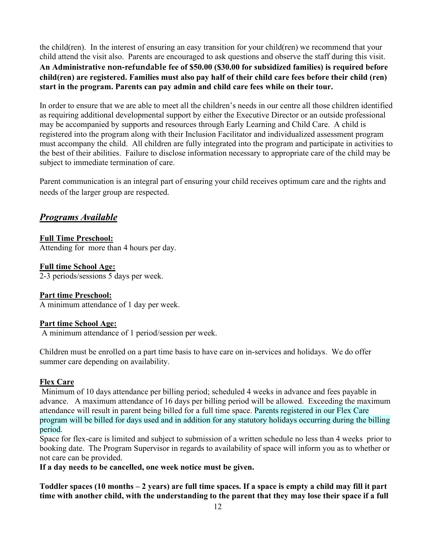the child(ren). In the interest of ensuring an easy transition for your child(ren) we recommend that your child attend the visit also. Parents are encouraged to ask questions and observe the staff during this visit. An Administrative non-refundable fee of \$50.00 (\$30.00 for subsidized families) is required before child(ren) are registered. Families must also pay half of their child care fees before their child (ren) start in the program. Parents can pay admin and child care fees while on their tour.

In order to ensure that we are able to meet all the children's needs in our centre all those children identified as requiring additional developmental support by either the Executive Director or an outside professional may be accompanied by supports and resources through Early Learning and Child Care. A child is registered into the program along with their Inclusion Facilitator and individualized assessment program must accompany the child. All children are fully integrated into the program and participate in activities to the best of their abilities. Failure to disclose information necessary to appropriate care of the child may be subject to immediate termination of care.

Parent communication is an integral part of ensuring your child receives optimum care and the rights and needs of the larger group are respected.

# Programs Available

#### Full Time Preschool:

Attending for more than 4 hours per day.

#### Full time School Age:

2-3 periods/sessions 5 days per week.

#### Part time Preschool:

A minimum attendance of 1 day per week.

#### Part time School Age:

A minimum attendance of 1 period/session per week.

Children must be enrolled on a part time basis to have care on in-services and holidays. We do offer summer care depending on availability.

### Flex Care

 Minimum of 10 days attendance per billing period; scheduled 4 weeks in advance and fees payable in advance. A maximum attendance of 16 days per billing period will be allowed. Exceeding the maximum attendance will result in parent being billed for a full time space. Parents registered in our Flex Care program will be billed for days used and in addition for any statutory holidays occurring during the billing period.

Space for flex-care is limited and subject to submission of a written schedule no less than 4 weeks prior to booking date. The Program Supervisor in regards to availability of space will inform you as to whether or not care can be provided.

If a day needs to be cancelled, one week notice must be given.

Toddler spaces (10 months – 2 years) are full time spaces. If a space is empty a child may fill it part time with another child, with the understanding to the parent that they may lose their space if a full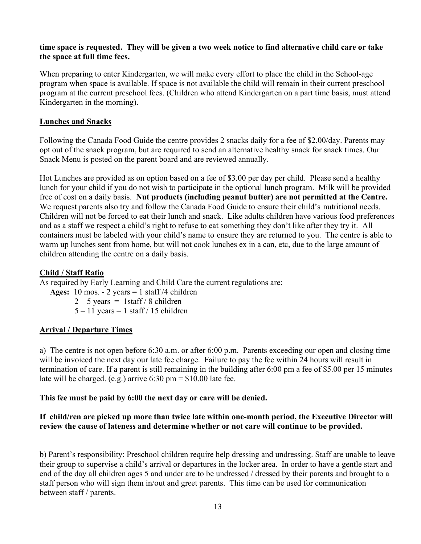#### time space is requested. They will be given a two week notice to find alternative child care or take the space at full time fees.

When preparing to enter Kindergarten, we will make every effort to place the child in the School-age program when space is available. If space is not available the child will remain in their current preschool program at the current preschool fees. (Children who attend Kindergarten on a part time basis, must attend Kindergarten in the morning).

#### Lunches and Snacks

Following the Canada Food Guide the centre provides 2 snacks daily for a fee of \$2.00/day. Parents may opt out of the snack program, but are required to send an alternative healthy snack for snack times. Our Snack Menu is posted on the parent board and are reviewed annually.

Hot Lunches are provided as on option based on a fee of \$3.00 per day per child. Please send a healthy lunch for your child if you do not wish to participate in the optional lunch program. Milk will be provided free of cost on a daily basis. Nut products (including peanut butter) are not permitted at the Centre. We request parents also try and follow the Canada Food Guide to ensure their child's nutritional needs. Children will not be forced to eat their lunch and snack. Like adults children have various food preferences and as a staff we respect a child's right to refuse to eat something they don't like after they try it. All containers must be labeled with your child's name to ensure they are returned to you. The centre is able to warm up lunches sent from home, but will not cook lunches ex in a can, etc, due to the large amount of children attending the centre on a daily basis.

#### Child / Staff Ratio

As required by Early Learning and Child Care the current regulations are:

- Ages:  $10 \text{ mos.} 2 \text{ years} = 1 \text{ staff}/4 \text{ children}$ 
	- $2 5$  years = 1staff / 8 children
	- $5 11$  years = 1 staff / 15 children

#### Arrival / Departure Times

a) The centre is not open before 6:30 a.m. or after 6:00 p.m. Parents exceeding our open and closing time will be invoiced the next day our late fee charge. Failure to pay the fee within 24 hours will result in termination of care. If a parent is still remaining in the building after 6:00 pm a fee of \$5.00 per 15 minutes late will be charged. (e.g.) arrive  $6:30 \text{ pm} = $10.00$  late fee.

#### This fee must be paid by 6:00 the next day or care will be denied.

#### If child/ren are picked up more than twice late within one-month period, the Executive Director will review the cause of lateness and determine whether or not care will continue to be provided.

b) Parent's responsibility: Preschool children require help dressing and undressing. Staff are unable to leave their group to supervise a child's arrival or departures in the locker area. In order to have a gentle start and end of the day all children ages 5 and under are to be undressed / dressed by their parents and brought to a staff person who will sign them in/out and greet parents. This time can be used for communication between staff / parents.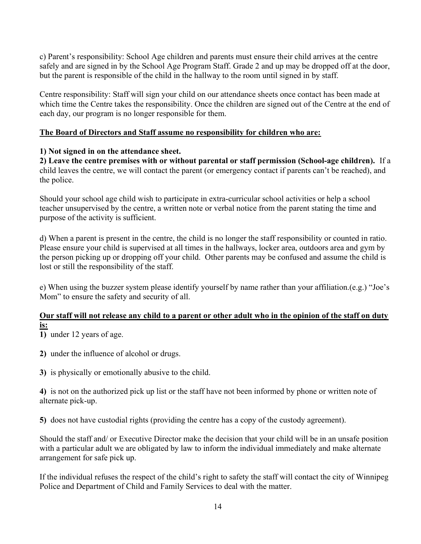c) Parent's responsibility: School Age children and parents must ensure their child arrives at the centre safely and are signed in by the School Age Program Staff. Grade 2 and up may be dropped off at the door, but the parent is responsible of the child in the hallway to the room until signed in by staff.

Centre responsibility: Staff will sign your child on our attendance sheets once contact has been made at which time the Centre takes the responsibility. Once the children are signed out of the Centre at the end of each day, our program is no longer responsible for them.

#### The Board of Directors and Staff assume no responsibility for children who are:

#### 1) Not signed in on the attendance sheet.

2) Leave the centre premises with or without parental or staff permission (School-age children). If a child leaves the centre, we will contact the parent (or emergency contact if parents can't be reached), and the police.

Should your school age child wish to participate in extra-curricular school activities or help a school teacher unsupervised by the centre, a written note or verbal notice from the parent stating the time and purpose of the activity is sufficient.

d) When a parent is present in the centre, the child is no longer the staff responsibility or counted in ratio. Please ensure your child is supervised at all times in the hallways, locker area, outdoors area and gym by the person picking up or dropping off your child. Other parents may be confused and assume the child is lost or still the responsibility of the staff.

e) When using the buzzer system please identify yourself by name rather than your affiliation.(e.g.) "Joe's Mom" to ensure the safety and security of all.

#### Our staff will not release any child to a parent or other adult who in the opinion of the staff on duty is:

1) under 12 years of age.

2) under the influence of alcohol or drugs.

3) is physically or emotionally abusive to the child.

4) is not on the authorized pick up list or the staff have not been informed by phone or written note of alternate pick-up.

5) does not have custodial rights (providing the centre has a copy of the custody agreement).

Should the staff and/ or Executive Director make the decision that your child will be in an unsafe position with a particular adult we are obligated by law to inform the individual immediately and make alternate arrangement for safe pick up.

If the individual refuses the respect of the child's right to safety the staff will contact the city of Winnipeg Police and Department of Child and Family Services to deal with the matter.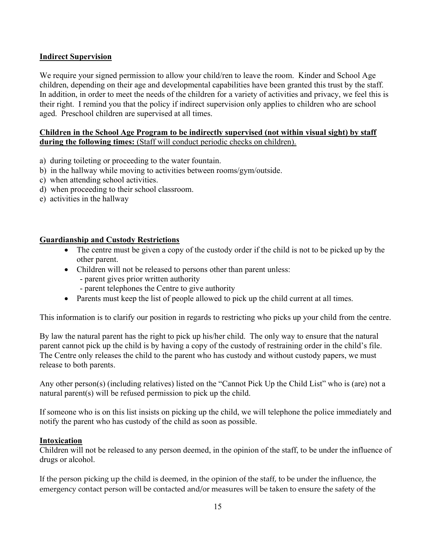#### Indirect Supervision

We require your signed permission to allow your child/ren to leave the room. Kinder and School Age children, depending on their age and developmental capabilities have been granted this trust by the staff. In addition, in order to meet the needs of the children for a variety of activities and privacy, we feel this is their right. I remind you that the policy if indirect supervision only applies to children who are school aged. Preschool children are supervised at all times.

#### Children in the School Age Program to be indirectly supervised (not within visual sight) by staff during the following times: (Staff will conduct periodic checks on children).

- a) during toileting or proceeding to the water fountain.
- b) in the hallway while moving to activities between rooms/gym/outside.
- c) when attending school activities.
- d) when proceeding to their school classroom.
- e) activities in the hallway

#### Guardianship and Custody Restrictions

- The centre must be given a copy of the custody order if the child is not to be picked up by the other parent.
- Children will not be released to persons other than parent unless:
	- parent gives prior written authority
	- parent telephones the Centre to give authority
- Parents must keep the list of people allowed to pick up the child current at all times.

This information is to clarify our position in regards to restricting who picks up your child from the centre.

By law the natural parent has the right to pick up his/her child. The only way to ensure that the natural parent cannot pick up the child is by having a copy of the custody of restraining order in the child's file. The Centre only releases the child to the parent who has custody and without custody papers, we must release to both parents.

Any other person(s) (including relatives) listed on the "Cannot Pick Up the Child List" who is (are) not a natural parent(s) will be refused permission to pick up the child.

If someone who is on this list insists on picking up the child, we will telephone the police immediately and notify the parent who has custody of the child as soon as possible.

#### Intoxication

Children will not be released to any person deemed, in the opinion of the staff, to be under the influence of drugs or alcohol.

If the person picking up the child is deemed, in the opinion of the staff, to be under the influence, the emergency contact person will be contacted and/or measures will be taken to ensure the safety of the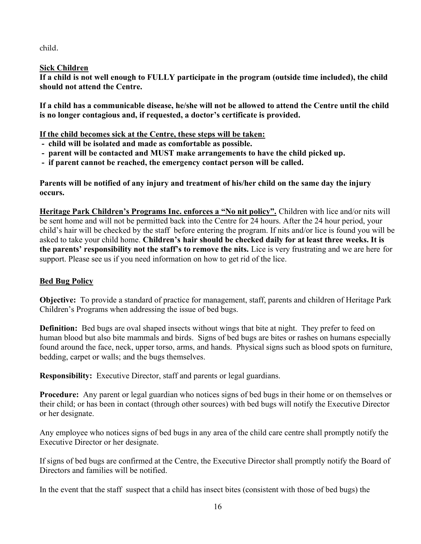child.

#### Sick Children

If a child is not well enough to FULLY participate in the program (outside time included), the child should not attend the Centre.

If a child has a communicable disease, he/she will not be allowed to attend the Centre until the child is no longer contagious and, if requested, a doctor's certificate is provided.

If the child becomes sick at the Centre, these steps will be taken:

- child will be isolated and made as comfortable as possible.
- parent will be contacted and MUST make arrangements to have the child picked up.
- if parent cannot be reached, the emergency contact person will be called.

Parents will be notified of any injury and treatment of his/her child on the same day the injury occurs.

Heritage Park Children's Programs Inc. enforces a "No nit policy". Children with lice and/or nits will be sent home and will not be permitted back into the Centre for 24 hours. After the 24 hour period, your child's hair will be checked by the staff before entering the program. If nits and/or lice is found you will be asked to take your child home. Children's hair should be checked daily for at least three weeks. It is the parents' responsibility not the staff's to remove the nits. Lice is very frustrating and we are here for support. Please see us if you need information on how to get rid of the lice.

## Bed Bug Policy

Objective: To provide a standard of practice for management, staff, parents and children of Heritage Park Children's Programs when addressing the issue of bed bugs.

**Definition:** Bed bugs are oval shaped insects without wings that bite at night. They prefer to feed on human blood but also bite mammals and birds. Signs of bed bugs are bites or rashes on humans especially found around the face, neck, upper torso, arms, and hands. Physical signs such as blood spots on furniture, bedding, carpet or walls; and the bugs themselves.

Responsibility: Executive Director, staff and parents or legal guardians.

Procedure: Any parent or legal guardian who notices signs of bed bugs in their home or on themselves or their child; or has been in contact (through other sources) with bed bugs will notify the Executive Director or her designate.

Any employee who notices signs of bed bugs in any area of the child care centre shall promptly notify the Executive Director or her designate.

If signs of bed bugs are confirmed at the Centre, the Executive Director shall promptly notify the Board of Directors and families will be notified.

In the event that the staff suspect that a child has insect bites (consistent with those of bed bugs) the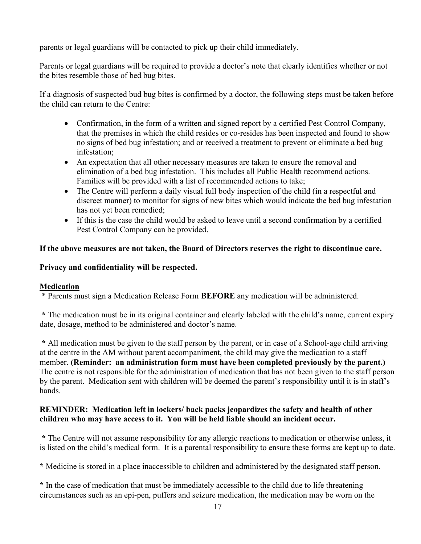parents or legal guardians will be contacted to pick up their child immediately.

Parents or legal guardians will be required to provide a doctor's note that clearly identifies whether or not the bites resemble those of bed bug bites.

If a diagnosis of suspected bud bug bites is confirmed by a doctor, the following steps must be taken before the child can return to the Centre:

- Confirmation, in the form of a written and signed report by a certified Pest Control Company, that the premises in which the child resides or co-resides has been inspected and found to show no signs of bed bug infestation; and or received a treatment to prevent or eliminate a bed bug infestation;
- An expectation that all other necessary measures are taken to ensure the removal and elimination of a bed bug infestation. This includes all Public Health recommend actions. Families will be provided with a list of recommended actions to take;
- The Centre will perform a daily visual full body inspection of the child (in a respectful and discreet manner) to monitor for signs of new bites which would indicate the bed bug infestation has not yet been remedied;
- If this is the case the child would be asked to leave until a second confirmation by a certified Pest Control Company can be provided.

#### If the above measures are not taken, the Board of Directors reserves the right to discontinue care.

#### Privacy and confidentiality will be respected.

#### **Medication**

\* Parents must sign a Medication Release Form BEFORE any medication will be administered.

 \* The medication must be in its original container and clearly labeled with the child's name, current expiry date, dosage, method to be administered and doctor's name.

\* All medication must be given to the staff person by the parent, or in case of a School-age child arriving at the centre in the AM without parent accompaniment, the child may give the medication to a staff member. (Reminder: an administration form must have been completed previously by the parent.) The centre is not responsible for the administration of medication that has not been given to the staff person by the parent. Medication sent with children will be deemed the parent's responsibility until it is in staff's hands.

#### REMINDER: Medication left in lockers/ back packs jeopardizes the safety and health of other children who may have access to it. You will be held liable should an incident occur.

 \* The Centre will not assume responsibility for any allergic reactions to medication or otherwise unless, it is listed on the child's medical form. It is a parental responsibility to ensure these forms are kept up to date.

\* Medicine is stored in a place inaccessible to children and administered by the designated staff person.

\* In the case of medication that must be immediately accessible to the child due to life threatening circumstances such as an epi-pen, puffers and seizure medication, the medication may be worn on the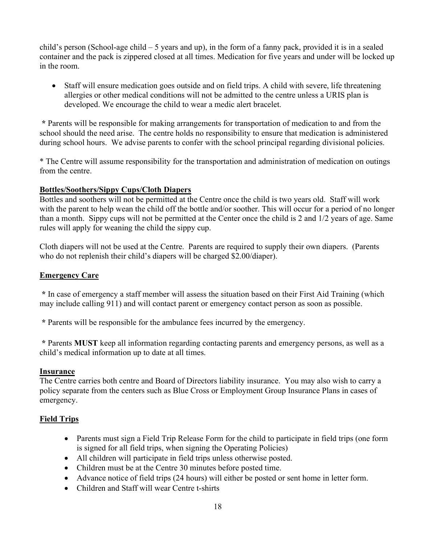child's person (School-age child – 5 years and up), in the form of a fanny pack, provided it is in a sealed container and the pack is zippered closed at all times. Medication for five years and under will be locked up in the room.

 Staff will ensure medication goes outside and on field trips. A child with severe, life threatening allergies or other medical conditions will not be admitted to the centre unless a URIS plan is developed. We encourage the child to wear a medic alert bracelet.

\* Parents will be responsible for making arrangements for transportation of medication to and from the school should the need arise. The centre holds no responsibility to ensure that medication is administered during school hours. We advise parents to confer with the school principal regarding divisional policies.

\* The Centre will assume responsibility for the transportation and administration of medication on outings from the centre.

#### Bottles/Soothers/Sippy Cups/Cloth Diapers

Bottles and soothers will not be permitted at the Centre once the child is two years old. Staff will work with the parent to help wean the child off the bottle and/or soother. This will occur for a period of no longer than a month. Sippy cups will not be permitted at the Center once the child is 2 and 1/2 years of age. Same rules will apply for weaning the child the sippy cup.

Cloth diapers will not be used at the Centre. Parents are required to supply their own diapers. (Parents who do not replenish their child's diapers will be charged \$2.00/diaper).

#### Emergency Care

 \* In case of emergency a staff member will assess the situation based on their First Aid Training (which may include calling 911) and will contact parent or emergency contact person as soon as possible.

\* Parents will be responsible for the ambulance fees incurred by the emergency.

 \* Parents MUST keep all information regarding contacting parents and emergency persons, as well as a child's medical information up to date at all times.

#### Insurance

The Centre carries both centre and Board of Directors liability insurance. You may also wish to carry a policy separate from the centers such as Blue Cross or Employment Group Insurance Plans in cases of emergency.

#### Field Trips

- Parents must sign a Field Trip Release Form for the child to participate in field trips (one form is signed for all field trips, when signing the Operating Policies)
- All children will participate in field trips unless otherwise posted.
- Children must be at the Centre 30 minutes before posted time.
- Advance notice of field trips (24 hours) will either be posted or sent home in letter form.
- Children and Staff will wear Centre t-shirts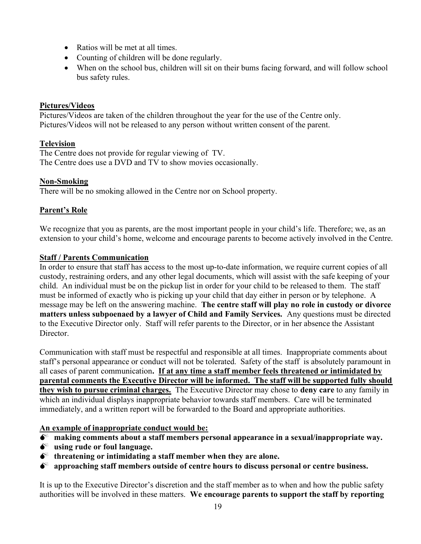- Ratios will be met at all times.
- Counting of children will be done regularly.
- When on the school bus, children will sit on their bums facing forward, and will follow school bus safety rules.

#### Pictures/Videos

Pictures/Videos are taken of the children throughout the year for the use of the Centre only. Pictures/Videos will not be released to any person without written consent of the parent.

#### Television

The Centre does not provide for regular viewing of TV. The Centre does use a DVD and TV to show movies occasionally.

#### Non-Smoking

There will be no smoking allowed in the Centre nor on School property.

#### Parent's Role

We recognize that you as parents, are the most important people in your child's life. Therefore; we, as an extension to your child's home, welcome and encourage parents to become actively involved in the Centre.

#### Staff / Parents Communication

In order to ensure that staff has access to the most up-to-date information, we require current copies of all custody, restraining orders, and any other legal documents, which will assist with the safe keeping of your child. An individual must be on the pickup list in order for your child to be released to them. The staff must be informed of exactly who is picking up your child that day either in person or by telephone. A message may be left on the answering machine. The centre staff will play no role in custody or divorce matters unless subpoenaed by a lawyer of Child and Family Services. Any questions must be directed to the Executive Director only. Staff will refer parents to the Director, or in her absence the Assistant Director.

Communication with staff must be respectful and responsible at all times. Inappropriate comments about staff's personal appearance or conduct will not be tolerated. Safety of the staff is absolutely paramount in all cases of parent communication. If at any time a staff member feels threatened or intimidated by parental comments the Executive Director will be informed. The staff will be supported fully should they wish to pursue criminal charges. The Executive Director may chose to deny care to any family in which an individual displays inappropriate behavior towards staff members. Care will be terminated immediately, and a written report will be forwarded to the Board and appropriate authorities.

#### An example of inappropriate conduct would be:

- $\bullet^*$  making comments about a staff members personal appearance in a sexual/inappropriate way.
- $\bullet^*$  using rude or foul language.
- $\bullet^*$  threatening or intimidating a staff member when they are alone.
- $\bullet^*$  approaching staff members outside of centre hours to discuss personal or centre business.

It is up to the Executive Director's discretion and the staff member as to when and how the public safety authorities will be involved in these matters. We encourage parents to support the staff by reporting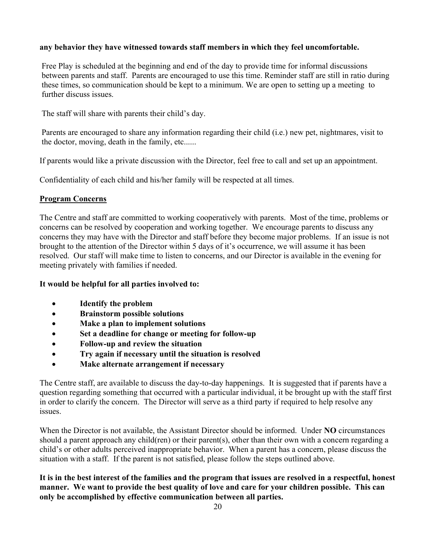#### any behavior they have witnessed towards staff members in which they feel uncomfortable.

Free Play is scheduled at the beginning and end of the day to provide time for informal discussions between parents and staff. Parents are encouraged to use this time. Reminder staff are still in ratio during these times, so communication should be kept to a minimum. We are open to setting up a meeting to further discuss issues.

The staff will share with parents their child's day.

Parents are encouraged to share any information regarding their child (i.e.) new pet, nightmares, visit to the doctor, moving, death in the family, etc......

If parents would like a private discussion with the Director, feel free to call and set up an appointment.

Confidentiality of each child and his/her family will be respected at all times.

#### Program Concerns

The Centre and staff are committed to working cooperatively with parents. Most of the time, problems or concerns can be resolved by cooperation and working together. We encourage parents to discuss any concerns they may have with the Director and staff before they become major problems. If an issue is not brought to the attention of the Director within 5 days of it's occurrence, we will assume it has been resolved. Our staff will make time to listen to concerns, and our Director is available in the evening for meeting privately with families if needed.

#### It would be helpful for all parties involved to:

- Identify the problem
- Brainstorm possible solutions
- Make a plan to implement solutions
- Set a deadline for change or meeting for follow-up
- Follow-up and review the situation
- Try again if necessary until the situation is resolved
- Make alternate arrangement if necessary

The Centre staff, are available to discuss the day-to-day happenings. It is suggested that if parents have a question regarding something that occurred with a particular individual, it be brought up with the staff first in order to clarify the concern. The Director will serve as a third party if required to help resolve any issues.

When the Director is not available, the Assistant Director should be informed. Under NO circumstances should a parent approach any child(ren) or their parent(s), other than their own with a concern regarding a child's or other adults perceived inappropriate behavior. When a parent has a concern, please discuss the situation with a staff. If the parent is not satisfied, please follow the steps outlined above.

It is in the best interest of the families and the program that issues are resolved in a respectful, honest manner. We want to provide the best quality of love and care for your children possible. This can only be accomplished by effective communication between all parties.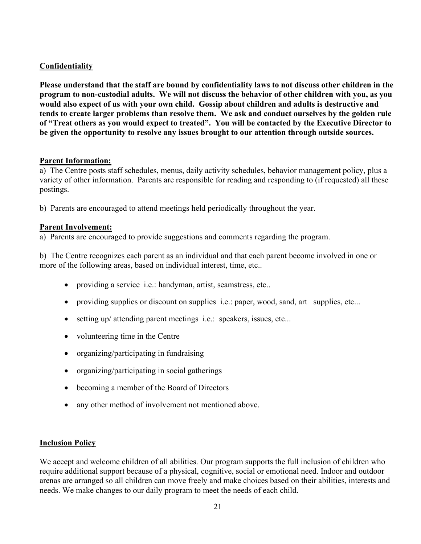#### Confidentiality

Please understand that the staff are bound by confidentiality laws to not discuss other children in the program to non-custodial adults. We will not discuss the behavior of other children with you, as you would also expect of us with your own child. Gossip about children and adults is destructive and tends to create larger problems than resolve them. We ask and conduct ourselves by the golden rule of "Treat others as you would expect to treated". You will be contacted by the Executive Director to be given the opportunity to resolve any issues brought to our attention through outside sources.

#### Parent Information:

a) The Centre posts staff schedules, menus, daily activity schedules, behavior management policy, plus a variety of other information. Parents are responsible for reading and responding to (if requested) all these postings.

b) Parents are encouraged to attend meetings held periodically throughout the year.

#### Parent Involvement:

a) Parents are encouraged to provide suggestions and comments regarding the program.

b) The Centre recognizes each parent as an individual and that each parent become involved in one or more of the following areas, based on individual interest, time, etc..

- providing a service i.e.: handyman, artist, seamstress, etc..
- providing supplies or discount on supplies i.e.: paper, wood, sand, art supplies, etc...
- setting up/ attending parent meetings i.e.: speakers, issues, etc...
- volunteering time in the Centre
- organizing/participating in fundraising
- organizing/participating in social gatherings
- becoming a member of the Board of Directors
- any other method of involvement not mentioned above.

#### **Inclusion Policy**

We accept and welcome children of all abilities. Our program supports the full inclusion of children who require additional support because of a physical, cognitive, social or emotional need. Indoor and outdoor arenas are arranged so all children can move freely and make choices based on their abilities, interests and needs. We make changes to our daily program to meet the needs of each child.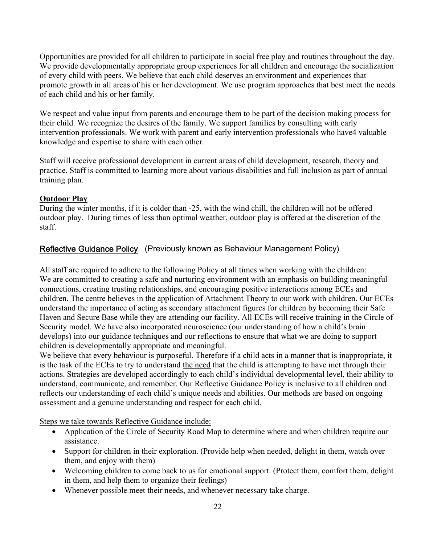Opportunities are provided for all children to participate in social free play and routines throughout the day. We provide developmentally appropriate group experiences for all children and encourage the socialization of every child with peers. We believe that each child deserves an environment and experiences that promote growth in all areas of his or her development. We use program approaches that best meet the needs of each child and his or her family.

We respect and value input from parents and encourage them to be part of the decision making process for their child. We recognize the desires of the family. We support families by consulting with early intervention professionals. We work with parent and early intervention professionals who have4 valuable knowledge and expertise to share with each other.

Staff will receive professional development in current areas of child development, research, theory and practice. Staff is committed to learning more about various disabilities and full inclusion as part of annual training plan.

#### **Outdoor Play**

During the winter months, if it is colder than -25, with the wind chill, the children will not be offered outdoor play. During times of less than optimal weather, outdoor play is offered at the discretion of the staff.

### Reflective Guidance Policy (Previously known as Behaviour Management Policy)

All staff are required to adhere to the following Policy at all times when working with the children: We are committed to creating a safe and nurturing environment with an emphasis on building meaningful connections, creating trusting relationships, and encouraging positive interactions among ECEs and children. The centre believes in the application of Attachment Theory to our work with children. Our ECEs understand the importance of acting as secondary attachment figures for children by becoming their Safe Haven and Secure Base while they are attending our facility. All ECEs will receive training in the Circle of Security model. We have also incorporated neuroscience (our understanding of how a child's brain develops) into our guidance techniques and our reflections to ensure that what we are doing to support children is developmentally appropriate and meaningful.

We believe that every behaviour is purposeful. Therefore if a child acts in a manner that is inappropriate, it is the task of the ECEs to try to understand the need that the child is attempting to have met through their actions. Strategies are developed accordingly to each child's individual developmental level, their ability to understand, communicate, and remember. Our Reflective Guidance Policy is inclusive to all children and reflects our understanding of each child's unique needs and abilities. Our methods are based on ongoing assessment and a genuine understanding and respect for each child.

Steps we take towards Reflective Guidance include:

- Application of the Circle of Security Road Map to determine where and when children require our assistance.
- Support for children in their exploration. (Provide help when needed, delight in them, watch over them, and enjoy with them)
- Welcoming children to come back to us for emotional support. (Protect them, comfort them, delight in them, and help them to organize their feelings)
- Whenever possible meet their needs, and whenever necessary take charge.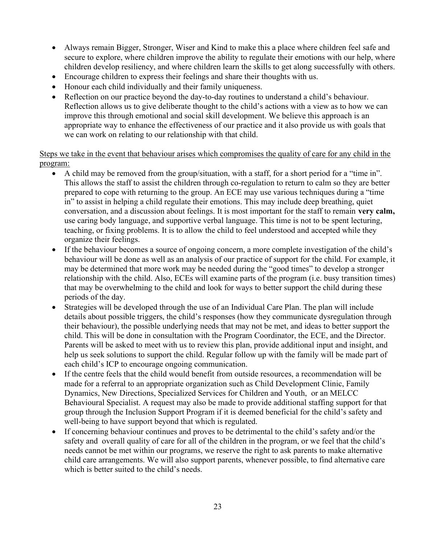- Always remain Bigger, Stronger, Wiser and Kind to make this a place where children feel safe and secure to explore, where children improve the ability to regulate their emotions with our help, where children develop resiliency, and where children learn the skills to get along successfully with others.
- Encourage children to express their feelings and share their thoughts with us.
- Honour each child individually and their family uniqueness.
- Reflection on our practice beyond the day-to-day routines to understand a child's behaviour. Reflection allows us to give deliberate thought to the child's actions with a view as to how we can improve this through emotional and social skill development. We believe this approach is an appropriate way to enhance the effectiveness of our practice and it also provide us with goals that we can work on relating to our relationship with that child.

Steps we take in the event that behaviour arises which compromises the quality of care for any child in the program:

- A child may be removed from the group/situation, with a staff, for a short period for a "time in". This allows the staff to assist the children through co-regulation to return to calm so they are better prepared to cope with returning to the group. An ECE may use various techniques during a "time in" to assist in helping a child regulate their emotions. This may include deep breathing, quiet conversation, and a discussion about feelings. It is most important for the staff to remain very calm, use caring body language, and supportive verbal language. This time is not to be spent lecturing, teaching, or fixing problems. It is to allow the child to feel understood and accepted while they organize their feelings.
- If the behaviour becomes a source of ongoing concern, a more complete investigation of the child's behaviour will be done as well as an analysis of our practice of support for the child. For example, it may be determined that more work may be needed during the "good times" to develop a stronger relationship with the child. Also, ECEs will examine parts of the program (i.e. busy transition times) that may be overwhelming to the child and look for ways to better support the child during these periods of the day.
- Strategies will be developed through the use of an Individual Care Plan. The plan will include details about possible triggers, the child's responses (how they communicate dysregulation through their behaviour), the possible underlying needs that may not be met, and ideas to better support the child. This will be done in consultation with the Program Coordinator, the ECE, and the Director. Parents will be asked to meet with us to review this plan, provide additional input and insight, and help us seek solutions to support the child. Regular follow up with the family will be made part of each child's ICP to encourage ongoing communication.
- If the centre feels that the child would benefit from outside resources, a recommendation will be made for a referral to an appropriate organization such as Child Development Clinic, Family Dynamics, New Directions, Specialized Services for Children and Youth, or an MELCC Behavioural Specialist. A request may also be made to provide additional staffing support for that group through the Inclusion Support Program if it is deemed beneficial for the child's safety and well-being to have support beyond that which is regulated.
- If concerning behaviour continues and proves to be detrimental to the child's safety and/or the safety and overall quality of care for all of the children in the program, or we feel that the child's needs cannot be met within our programs, we reserve the right to ask parents to make alternative child care arrangements. We will also support parents, whenever possible, to find alternative care which is better suited to the child's needs.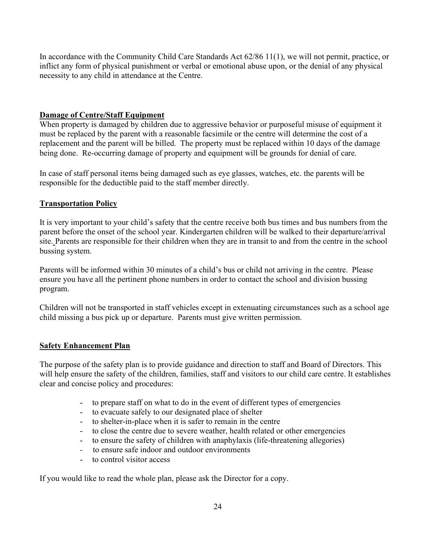In accordance with the Community Child Care Standards Act 62/86 11(1), we will not permit, practice, or inflict any form of physical punishment or verbal or emotional abuse upon, or the denial of any physical necessity to any child in attendance at the Centre.

#### Damage of Centre/Staff Equipment

When property is damaged by children due to aggressive behavior or purposeful misuse of equipment it must be replaced by the parent with a reasonable facsimile or the centre will determine the cost of a replacement and the parent will be billed. The property must be replaced within 10 days of the damage being done. Re-occurring damage of property and equipment will be grounds for denial of care.

In case of staff personal items being damaged such as eye glasses, watches, etc. the parents will be responsible for the deductible paid to the staff member directly.

#### Transportation Policy

It is very important to your child's safety that the centre receive both bus times and bus numbers from the parent before the onset of the school year. Kindergarten children will be walked to their departure/arrival site. Parents are responsible for their children when they are in transit to and from the centre in the school bussing system.

Parents will be informed within 30 minutes of a child's bus or child not arriving in the centre. Please ensure you have all the pertinent phone numbers in order to contact the school and division bussing program.

Children will not be transported in staff vehicles except in extenuating circumstances such as a school age child missing a bus pick up or departure. Parents must give written permission.

#### Safety Enhancement Plan

The purpose of the safety plan is to provide guidance and direction to staff and Board of Directors. This will help ensure the safety of the children, families, staff and visitors to our child care centre. It establishes clear and concise policy and procedures:

- to prepare staff on what to do in the event of different types of emergencies
- to evacuate safely to our designated place of shelter
- to shelter-in-place when it is safer to remain in the centre
- to close the centre due to severe weather, health related or other emergencies
- to ensure the safety of children with anaphylaxis (life-threatening allegories)
- to ensure safe indoor and outdoor environments
- to control visitor access

If you would like to read the whole plan, please ask the Director for a copy.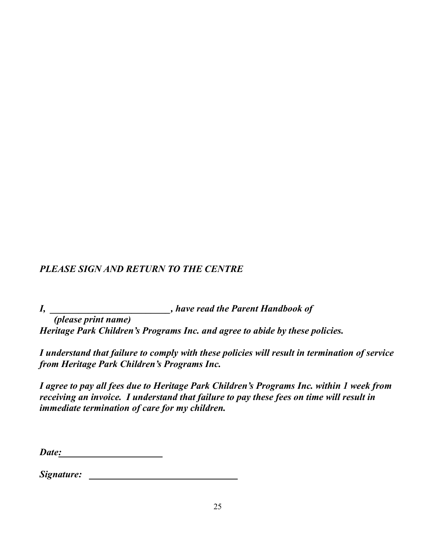# PLEASE SIGN AND RETURN TO THE CENTRE

I, \_\_\_\_\_\_\_\_\_\_\_\_\_\_\_\_\_\_\_\_\_, have read the Parent Handbook of (please print name)

Heritage Park Children's Programs Inc. and agree to abide by these policies.

I understand that failure to comply with these policies will result in termination of service from Heritage Park Children's Programs Inc.

I agree to pay all fees due to Heritage Park Children's Programs Inc. within 1 week from receiving an invoice. I understand that failure to pay these fees on time will result in immediate termination of care for my children.

Date:

| Signature: |  |
|------------|--|
|------------|--|